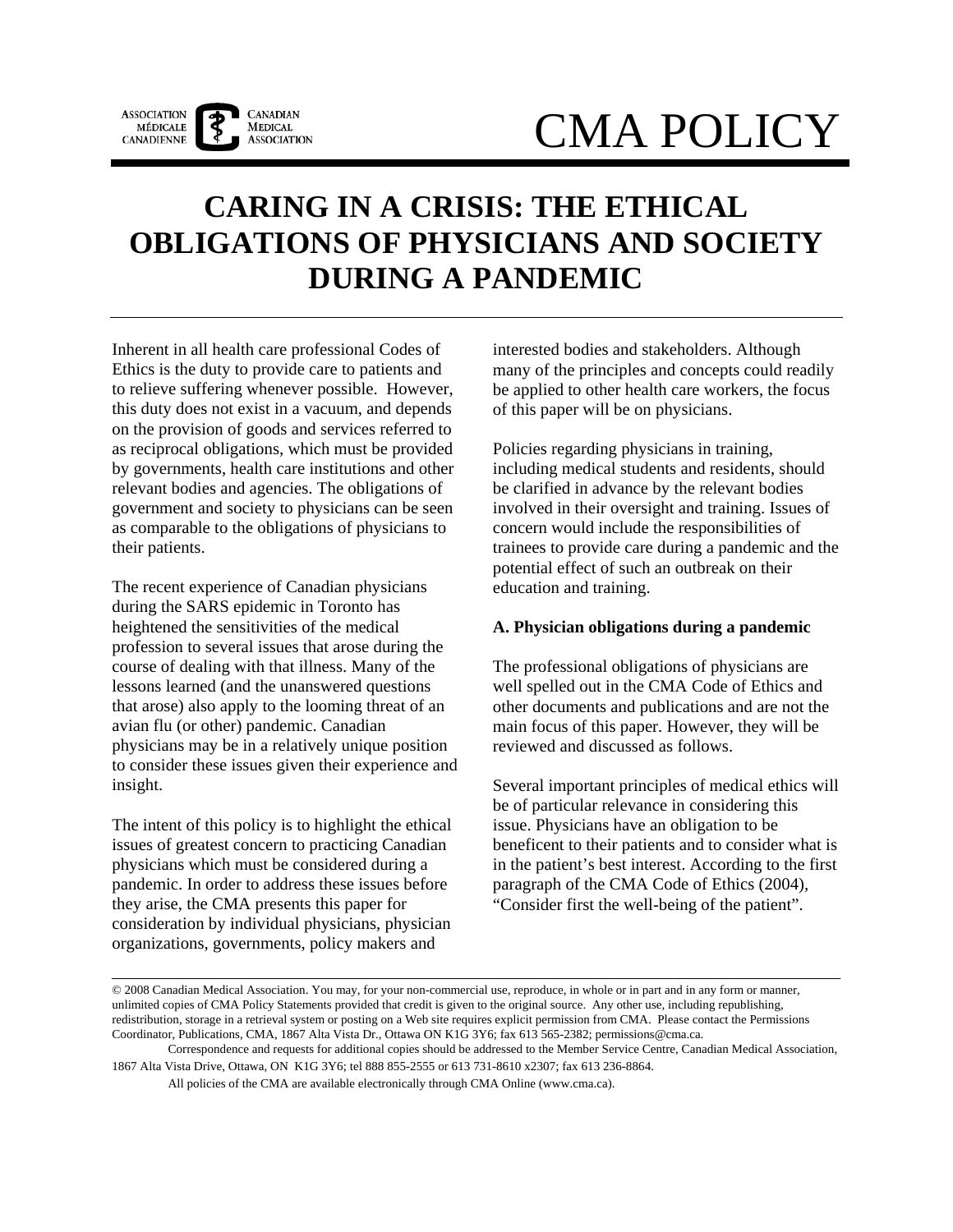

# CMA POLICY

# **CARING IN A CRISIS: THE ETHICAL OBLIGATIONS OF PHYSICIANS AND SOCIETY DURING A PANDEMIC**

Inherent in all health care professional Codes of Ethics is the duty to provide care to patients and to relieve suffering whenever possible. However, this duty does not exist in a vacuum, and depends on the provision of goods and services referred to as reciprocal obligations, which must be provided by governments, health care institutions and other relevant bodies and agencies. The obligations of government and society to physicians can be seen as comparable to the obligations of physicians to their patients.

The recent experience of Canadian physicians during the SARS epidemic in Toronto has heightened the sensitivities of the medical profession to several issues that arose during the course of dealing with that illness. Many of the lessons learned (and the unanswered questions that arose) also apply to the looming threat of an avian flu (or other) pandemic. Canadian physicians may be in a relatively unique position to consider these issues given their experience and insight.

The intent of this policy is to highlight the ethical issues of greatest concern to practicing Canadian physicians which must be considered during a pandemic. In order to address these issues before they arise, the CMA presents this paper for consideration by individual physicians, physician organizations, governments, policy makers and

interested bodies and stakeholders. Although many of the principles and concepts could readily be applied to other health care workers, the focus of this paper will be on physicians.

Policies regarding physicians in training, including medical students and residents, should be clarified in advance by the relevant bodies involved in their oversight and training. Issues of concern would include the responsibilities of trainees to provide care during a pandemic and the potential effect of such an outbreak on their education and training.

# **A. Physician obligations during a pandemic**

The professional obligations of physicians are well spelled out in the CMA Code of Ethics and other documents and publications and are not the main focus of this paper. However, they will be reviewed and discussed as follows.

Several important principles of medical ethics will be of particular relevance in considering this issue. Physicians have an obligation to be beneficent to their patients and to consider what is in the patient's best interest. According to the first paragraph of the CMA Code of Ethics (2004), "Consider first the well-being of the patient".

All policies of the CMA are available electronically through CMA Online (www.cma.ca).

<sup>© 2008</sup> Canadian Medical Association. You may, for your non-commercial use, reproduce, in whole or in part and in any form or manner, unlimited copies of CMA Policy Statements provided that credit is given to the original source. Any other use, including republishing, redistribution, storage in a retrieval system or posting on a Web site requires explicit permission from CMA. Please contact the Permissions Coordinator, Publications, CMA, 1867 Alta Vista Dr., Ottawa ON K1G 3Y6; fax 613 565-2382; permissions@cma.ca.

Correspondence and requests for additional copies should be addressed to the Member Service Centre, Canadian Medical Association, 1867 Alta Vista Drive, Ottawa, ON K1G 3Y6; tel 888 855-2555 or 613 731-8610 x2307; fax 613 236-8864.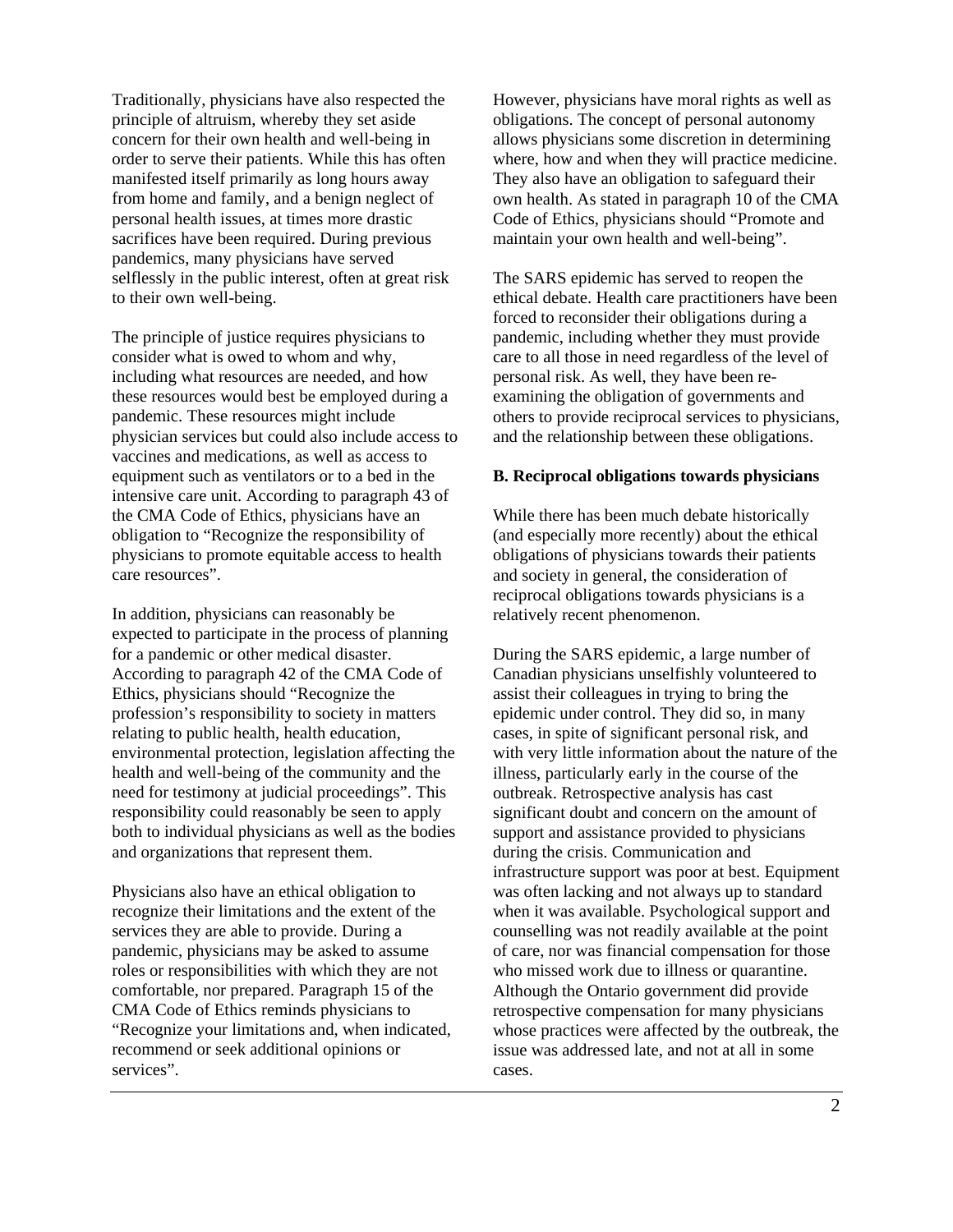Traditionally, physicians have also respected the principle of altruism, whereby they set aside concern for their own health and well-being in order to serve their patients. While this has often manifested itself primarily as long hours away from home and family, and a benign neglect of personal health issues, at times more drastic sacrifices have been required. During previous pandemics, many physicians have served selflessly in the public interest, often at great risk to their own well-being.

The principle of justice requires physicians to consider what is owed to whom and why, including what resources are needed, and how these resources would best be employed during a pandemic. These resources might include physician services but could also include access to vaccines and medications, as well as access to equipment such as ventilators or to a bed in the intensive care unit. According to paragraph 43 of the CMA Code of Ethics, physicians have an obligation to "Recognize the responsibility of physicians to promote equitable access to health care resources".

In addition, physicians can reasonably be expected to participate in the process of planning for a pandemic or other medical disaster. According to paragraph 42 of the CMA Code of Ethics, physicians should "Recognize the profession's responsibility to society in matters relating to public health, health education, environmental protection, legislation affecting the health and well-being of the community and the need for testimony at judicial proceedings". This responsibility could reasonably be seen to apply both to individual physicians as well as the bodies and organizations that represent them.

Physicians also have an ethical obligation to recognize their limitations and the extent of the services they are able to provide. During a pandemic, physicians may be asked to assume roles or responsibilities with which they are not comfortable, nor prepared. Paragraph 15 of the CMA Code of Ethics reminds physicians to "Recognize your limitations and, when indicated, recommend or seek additional opinions or services".

However, physicians have moral rights as well as obligations. The concept of personal autonomy allows physicians some discretion in determining where, how and when they will practice medicine. They also have an obligation to safeguard their own health. As stated in paragraph 10 of the CMA Code of Ethics, physicians should "Promote and maintain your own health and well-being".

The SARS epidemic has served to reopen the ethical debate. Health care practitioners have been forced to reconsider their obligations during a pandemic, including whether they must provide care to all those in need regardless of the level of personal risk. As well, they have been reexamining the obligation of governments and others to provide reciprocal services to physicians, and the relationship between these obligations.

#### **B. Reciprocal obligations towards physicians**

While there has been much debate historically (and especially more recently) about the ethical obligations of physicians towards their patients and society in general, the consideration of reciprocal obligations towards physicians is a relatively recent phenomenon.

During the SARS epidemic, a large number of Canadian physicians unselfishly volunteered to assist their colleagues in trying to bring the epidemic under control. They did so, in many cases, in spite of significant personal risk, and with very little information about the nature of the illness, particularly early in the course of the outbreak. Retrospective analysis has cast significant doubt and concern on the amount of support and assistance provided to physicians during the crisis. Communication and infrastructure support was poor at best. Equipment was often lacking and not always up to standard when it was available. Psychological support and counselling was not readily available at the point of care, nor was financial compensation for those who missed work due to illness or quarantine. Although the Ontario government did provide retrospective compensation for many physicians whose practices were affected by the outbreak, the issue was addressed late, and not at all in some cases.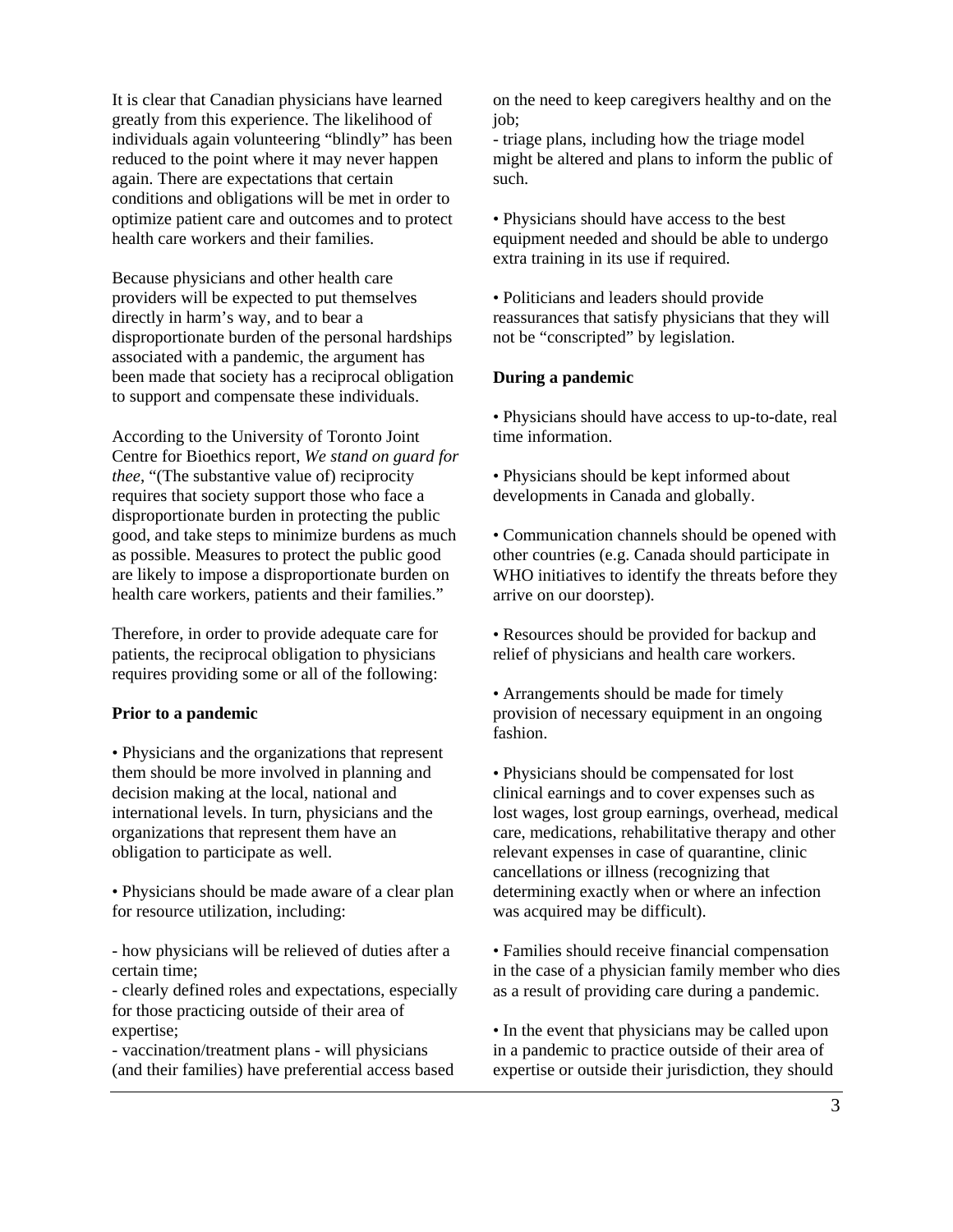It is clear that Canadian physicians have learned greatly from this experience. The likelihood of individuals again volunteering "blindly" has been reduced to the point where it may never happen again. There are expectations that certain conditions and obligations will be met in order to optimize patient care and outcomes and to protect health care workers and their families.

Because physicians and other health care providers will be expected to put themselves directly in harm's way, and to bear a disproportionate burden of the personal hardships associated with a pandemic, the argument has been made that society has a reciprocal obligation to support and compensate these individuals.

According to the University of Toronto Joint Centre for Bioethics report, *We stand on guard for thee*, "(The substantive value of) reciprocity requires that society support those who face a disproportionate burden in protecting the public good, and take steps to minimize burdens as much as possible. Measures to protect the public good are likely to impose a disproportionate burden on health care workers, patients and their families."

Therefore, in order to provide adequate care for patients, the reciprocal obligation to physicians requires providing some or all of the following:

# **Prior to a pandemic**

• Physicians and the organizations that represent them should be more involved in planning and decision making at the local, national and international levels. In turn, physicians and the organizations that represent them have an obligation to participate as well.

• Physicians should be made aware of a clear plan for resource utilization, including:

- how physicians will be relieved of duties after a certain time;

- clearly defined roles and expectations, especially for those practicing outside of their area of expertise;

- vaccination/treatment plans - will physicians (and their families) have preferential access based on the need to keep caregivers healthy and on the io<sub>b</sub>:

- triage plans, including how the triage model might be altered and plans to inform the public of such.

• Physicians should have access to the best equipment needed and should be able to undergo extra training in its use if required.

• Politicians and leaders should provide reassurances that satisfy physicians that they will not be "conscripted" by legislation.

#### **During a pandemic**

• Physicians should have access to up-to-date, real time information.

• Physicians should be kept informed about developments in Canada and globally.

• Communication channels should be opened with other countries (e.g. Canada should participate in WHO initiatives to identify the threats before they arrive on our doorstep).

• Resources should be provided for backup and relief of physicians and health care workers.

• Arrangements should be made for timely provision of necessary equipment in an ongoing fashion.

• Physicians should be compensated for lost clinical earnings and to cover expenses such as lost wages, lost group earnings, overhead, medical care, medications, rehabilitative therapy and other relevant expenses in case of quarantine, clinic cancellations or illness (recognizing that determining exactly when or where an infection was acquired may be difficult).

• Families should receive financial compensation in the case of a physician family member who dies as a result of providing care during a pandemic.

• In the event that physicians may be called upon in a pandemic to practice outside of their area of expertise or outside their jurisdiction, they should